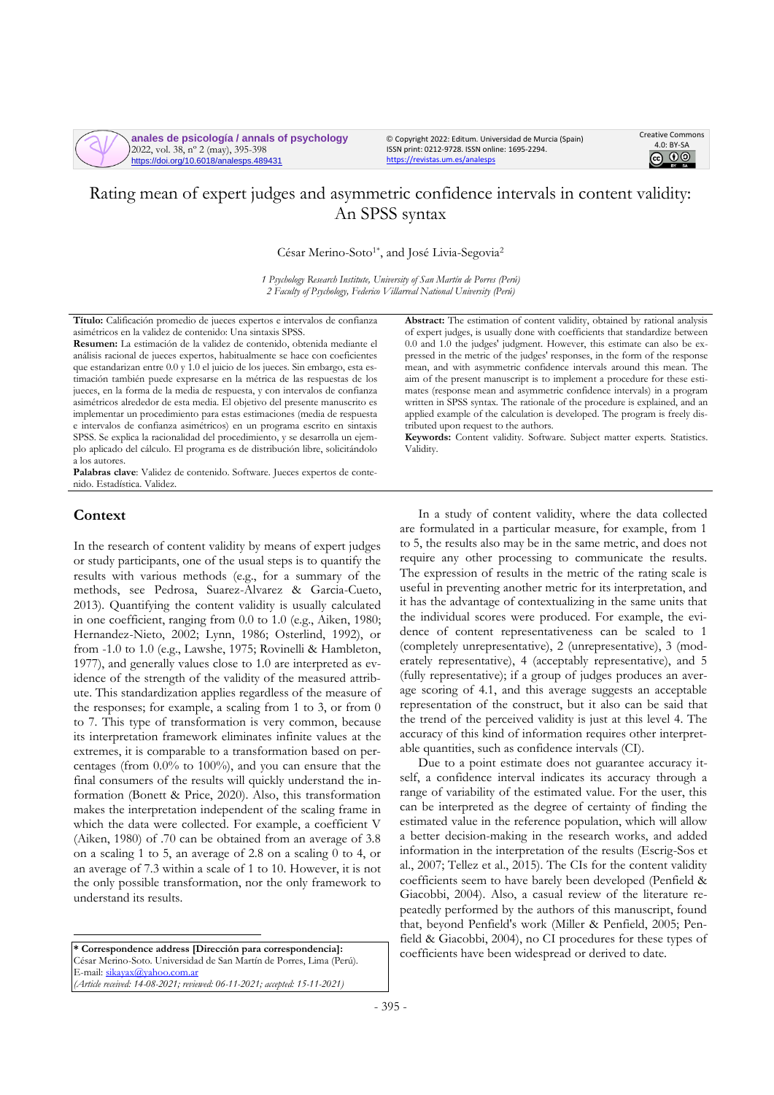

**anales de psicología / annals of psychology** 2022, vol. 38, nº 2 (may), 395-398 https://doi.org/10.6018/analesps.489431

© Copyright 2022: Editum. Universidad de Murcia (Spain) ISSN print: 0212-9728. ISSN online: 1695-2294. <https://revistas.um.es/analesps>



# Rating mean of expert judges and asymmetric confidence intervals in content validity: An SPSS syntax

César Merino-Soto<sup>1\*</sup>, and José Livia-Segovia<sup>2</sup>

*1 Psychology Research Institute, University of San Martín de Porres (Perú) 2 Faculty of Psychology, Federico Villarreal National University (Perú)*

**Título:** Calificación promedio de jueces expertos e intervalos de confianza asimétricos en la validez de contenido: Una sintaxis SPSS.

**Resumen:** La estimación de la validez de contenido, obtenida mediante el análisis racional de jueces expertos, habitualmente se hace con coeficientes que estandarizan entre 0.0 y 1.0 el juicio de los jueces. Sin embargo, esta estimación también puede expresarse en la métrica de las respuestas de los jueces, en la forma de la media de respuesta, y con intervalos de confianza asimétricos alrededor de esta media. El objetivo del presente manuscrito es implementar un procedimiento para estas estimaciones (media de respuesta e intervalos de confianza asimétricos) en un programa escrito en sintaxis SPSS. Se explica la racionalidad del procedimiento, y se desarrolla un ejemplo aplicado del cálculo. El programa es de distribución libre, solicitándolo a los autores.

**Palabras clave**: Validez de contenido. Software. Jueces expertos de contenido. Estadística. Validez.

# **Context**

In the research of content validity by means of expert judges or study participants, one of the usual steps is to quantify the results with various methods (e.g., for a summary of the methods, see Pedrosa, Suarez-Alvarez & Garcia-Cueto, 2013). Quantifying the content validity is usually calculated in one coefficient, ranging from 0.0 to 1.0 (e.g., Aiken, 1980; Hernandez-Nieto, 2002; Lynn, 1986; Osterlind, 1992), or from -1.0 to 1.0 (e.g., Lawshe, 1975; Rovinelli & Hambleton, 1977), and generally values close to 1.0 are interpreted as evidence of the strength of the validity of the measured attribute. This standardization applies regardless of the measure of the responses; for example, a scaling from 1 to 3, or from 0 to 7. This type of transformation is very common, because its interpretation framework eliminates infinite values at the extremes, it is comparable to a transformation based on percentages (from 0.0% to 100%), and you can ensure that the final consumers of the results will quickly understand the information (Bonett & Price, 2020). Also, this transformation makes the interpretation independent of the scaling frame in which the data were collected. For example, a coefficient V (Aiken, 1980) of .70 can be obtained from an average of 3.8 on a scaling 1 to 5, an average of 2.8 on a scaling 0 to 4, or an average of 7.3 within a scale of 1 to 10. However, it is not the only possible transformation, nor the only framework to understand its results.

**\* Correspondence address [Dirección para correspondencia]:** César Merino-Soto. Universidad de San Martín de Porres, Lima (Perú). E-mail[: sikayax@yahoo.com.ar](mailto:sikayax@yahoo.com.ar) *(Article received: 14-08-2021; reviewed: 06-11-2021; accepted: 15-11-2021)*

**Abstract:** The estimation of content validity, obtained by rational analysis of expert judges, is usually done with coefficients that standardize between 0.0 and 1.0 the judges' judgment. However, this estimate can also be expressed in the metric of the judges' responses, in the form of the response mean, and with asymmetric confidence intervals around this mean. The aim of the present manuscript is to implement a procedure for these estimates (response mean and asymmetric confidence intervals) in a program written in SPSS syntax. The rationale of the procedure is explained, and an applied example of the calculation is developed. The program is freely distributed upon request to the authors.

**Keywords:** Content validity. Software. Subject matter experts. Statistics. Validity.

In a study of content validity, where the data collected are formulated in a particular measure, for example, from 1 to 5, the results also may be in the same metric, and does not require any other processing to communicate the results. The expression of results in the metric of the rating scale is useful in preventing another metric for its interpretation, and it has the advantage of contextualizing in the same units that the individual scores were produced. For example, the evidence of content representativeness can be scaled to 1 (completely unrepresentative), 2 (unrepresentative), 3 (moderately representative), 4 (acceptably representative), and 5 (fully representative); if a group of judges produces an average scoring of 4.1, and this average suggests an acceptable representation of the construct, but it also can be said that the trend of the perceived validity is just at this level 4. The accuracy of this kind of information requires other interpretable quantities, such as confidence intervals (CI).

Due to a point estimate does not guarantee accuracy itself, a confidence interval indicates its accuracy through a range of variability of the estimated value. For the user, this can be interpreted as the degree of certainty of finding the estimated value in the reference population, which will allow a better decision-making in the research works, and added information in the interpretation of the results (Escrig-Sos et al., 2007; Tellez et al., 2015). The CIs for the content validity coefficients seem to have barely been developed (Penfield & Giacobbi, 2004). Also, a casual review of the literature repeatedly performed by the authors of this manuscript, found that, beyond Penfield's work (Miller & Penfield, 2005; Penfield & Giacobbi, 2004), no CI procedures for these types of coefficients have been widespread or derived to date.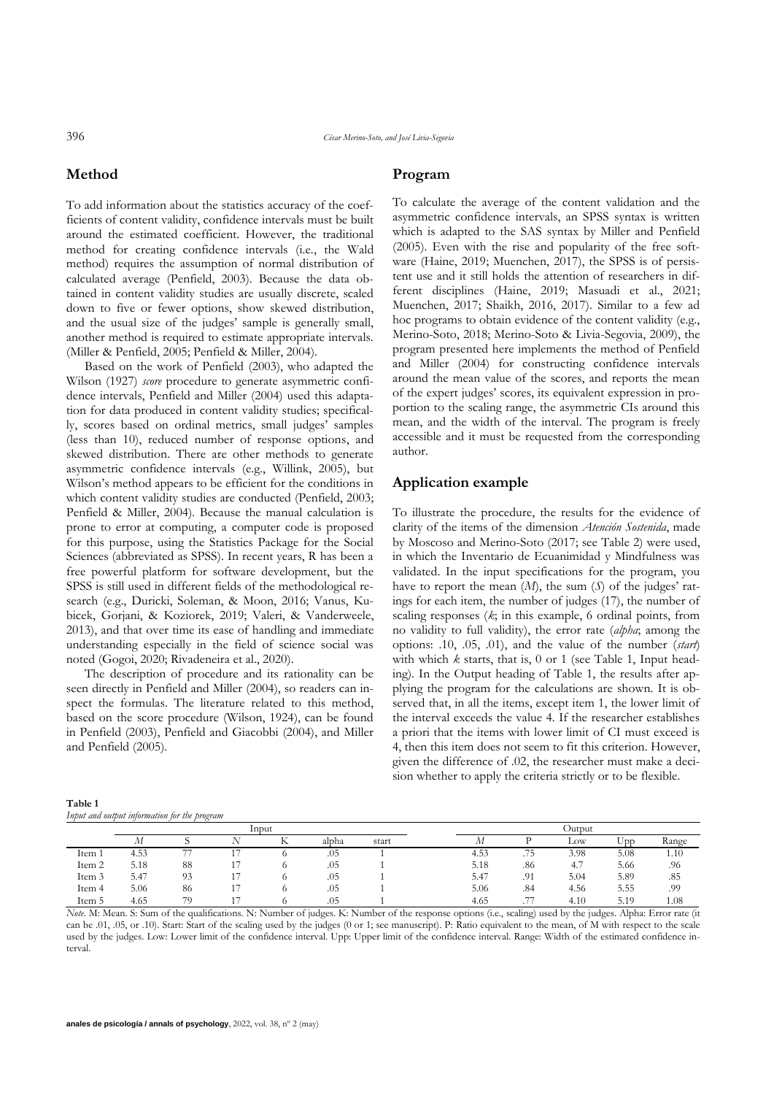396 *César Merino-Soto, and José Livia-Segovia*

# **Method**

To add information about the statistics accuracy of the coefficients of content validity, confidence intervals must be built around the estimated coefficient. However, the traditional method for creating confidence intervals (i.e., the Wald method) requires the assumption of normal distribution of calculated average (Penfield, 2003). Because the data obtained in content validity studies are usually discrete, scaled down to five or fewer options, show skewed distribution, and the usual size of the judges' sample is generally small, another method is required to estimate appropriate intervals. (Miller & Penfield, 2005; Penfield & Miller, 2004).

Based on the work of Penfield (2003), who adapted the Wilson (1927) *score* procedure to generate asymmetric confidence intervals, Penfield and Miller (2004) used this adaptation for data produced in content validity studies; specifically, scores based on ordinal metrics, small judges' samples (less than 10), reduced number of response options, and skewed distribution. There are other methods to generate asymmetric confidence intervals (e.g., Willink, 2005), but Wilson's method appears to be efficient for the conditions in which content validity studies are conducted (Penfield, 2003; Penfield & Miller, 2004). Because the manual calculation is prone to error at computing, a computer code is proposed for this purpose, using the Statistics Package for the Social Sciences (abbreviated as SPSS). In recent years, R has been a free powerful platform for software development, but the SPSS is still used in different fields of the methodological research (e.g., Duricki, Soleman, & Moon, 2016; Vanus, Kubicek, Gorjani, & Koziorek, 2019; Valeri, & Vanderweele, 2013), and that over time its ease of handling and immediate understanding especially in the field of science social was noted (Gogoi, 2020; Rivadeneira et al., 2020).

The description of procedure and its rationality can be seen directly in Penfield and Miller (2004), so readers can inspect the formulas. The literature related to this method, based on the score procedure (Wilson, 1924), can be found in Penfield (2003), Penfield and Giacobbi (2004), and Miller and Penfield (2005).

## **Program**

To calculate the average of the content validation and the asymmetric confidence intervals, an SPSS syntax is written which is adapted to the SAS syntax by Miller and Penfield (2005). Even with the rise and popularity of the free software (Haine, 2019; Muenchen, 2017), the SPSS is of persistent use and it still holds the attention of researchers in different disciplines (Haine, 2019; Masuadi et al., 2021; Muenchen, 2017; Shaikh, 2016, 2017). Similar to a few ad hoc programs to obtain evidence of the content validity (e.g., Merino-Soto, 2018; Merino-Soto & Livia-Segovia, 2009), the program presented here implements the method of Penfield and Miller (2004) for constructing confidence intervals around the mean value of the scores, and reports the mean of the expert judges' scores, its equivalent expression in proportion to the scaling range, the asymmetric CIs around this mean, and the width of the interval. The program is freely accessible and it must be requested from the corresponding author.

### **Application example**

To illustrate the procedure, the results for the evidence of clarity of the items of the dimension *Atención Sostenida*, made by Moscoso and Merino-Soto (2017; see Table 2) were used, in which the Inventario de Ecuanimidad y Mindfulness was validated. In the input specifications for the program, you have to report the mean (*M*), the sum (*S*) of the judges' ratings for each item, the number of judges (17), the number of scaling responses (*k*; in this example, 6 ordinal points, from no validity to full validity), the error rate (*alpha*; among the options: .10, .05, .01), and the value of the number (*start*) with which *k* starts, that is, 0 or 1 (see Table 1, Input heading). In the Output heading of Table 1, the results after applying the program for the calculations are shown. It is observed that, in all the items, except item 1, the lower limit of the interval exceeds the value 4. If the researcher establishes a priori that the items with lower limit of CI must exceed is 4, then this item does not seem to fit this criterion. However, given the difference of .02, the researcher must make a decision whether to apply the criteria strictly or to be flexible.

| Table 1                                      |  |
|----------------------------------------------|--|
| Input and output information for the program |  |

| Thput and output information for the program |       |    |  |  |       |        |       |                       |      |      |       |
|----------------------------------------------|-------|----|--|--|-------|--------|-------|-----------------------|------|------|-------|
|                                              | Input |    |  |  |       | Outout |       |                       |      |      |       |
|                                              | IИ    |    |  |  | alpha | start  | 1 V 1 |                       | Low  | Upp  | Range |
| Item                                         | 4.53  | -- |  |  | .05   |        | 4.53  | .75                   | 3.98 | 5.08 | 1.10  |
| Item 2                                       | 5.18  | 88 |  |  | .05   |        | 5.18  | .86                   | 4.7  | 5.66 | .96   |
| Item 3                                       | 5.47  | 93 |  |  | .05   |        | 5.47  | .91                   | 5.04 | 5.89 | .85   |
| Item 4                                       | 5.06  | 86 |  |  | .05   |        | 5.06  | .84                   | 4.56 | 5.55 | .99   |
| Item 5                                       | 4.65  | 79 |  |  | .05   |        | 4.65  | $\overline{a}$<br>. . | 4.10 | 5.19 | 1.08  |

*Note*. M: Mean. S: Sum of the qualifications. N: Number of judges. K: Number of the response options (i.e., scaling) used by the judges. Alpha: Error rate (it can be .01, .05, or .10). Start: Start of the scaling used by the judges (0 or 1; see manuscript). P: Ratio equivalent to the mean, of M with respect to the scale used by the judges. Low: Lower limit of the confidence interval. Upp: Upper limit of the confidence interval. Range: Width of the estimated confidence interval.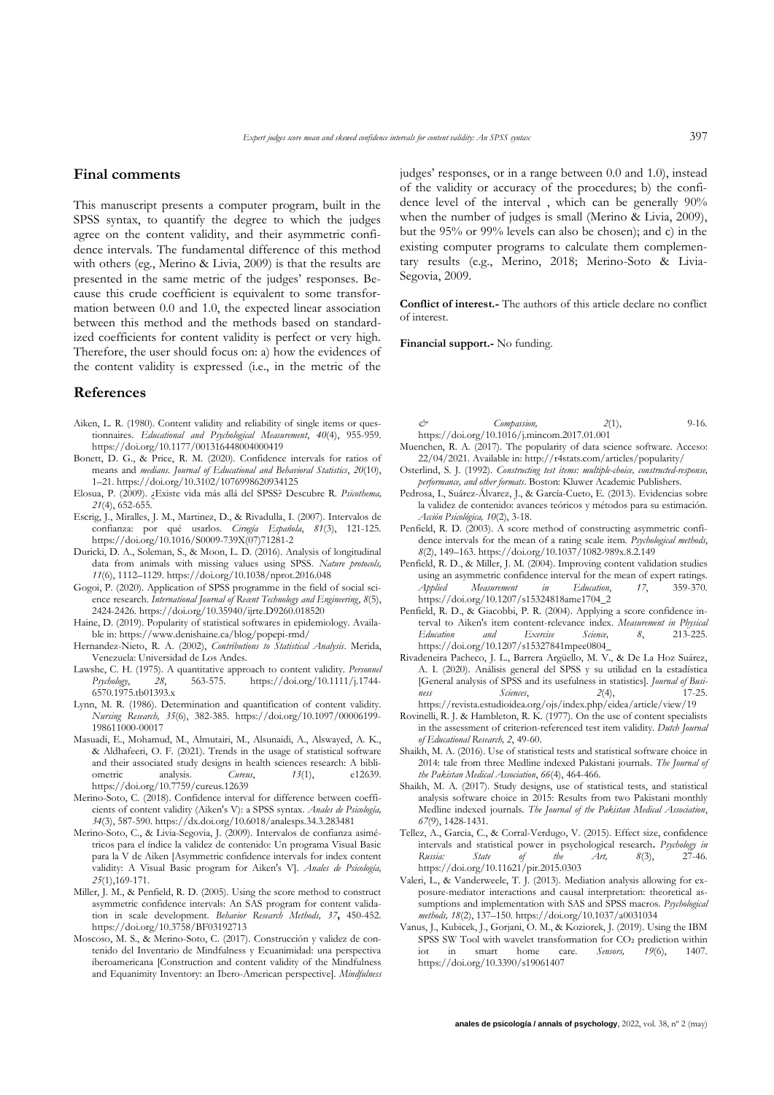#### **Final comments**

This manuscript presents a computer program, built in the SPSS syntax, to quantify the degree to which the judges agree on the content validity, and their asymmetric confidence intervals. The fundamental difference of this method with others (eg., Merino & Livia, 2009) is that the results are presented in the same metric of the judges' responses. Because this crude coefficient is equivalent to some transformation between 0.0 and 1.0, the expected linear association between this method and the methods based on standardized coefficients for content validity is perfect or very high. Therefore, the user should focus on: a) how the evidences of the content validity is expressed (i.e., in the metric of the

#### **References**

- Aiken, L. R. (1980). Content validity and reliability of single items or questionnaires. *Educational and Psychological Measurement*, *40*(4), 955-959. <https://doi.org/10.1177/001316448004000419>
- Bonett, D. G., & Price, R. M. (2020). Confidence intervals for ratios of means and *medians. Journal of Educational and Behavioral Statistics*, *20*(10), 1–21. <https://doi.org/10.3102/1076998620934125>
- Elosua, P. (2009). ¿Existe vida más allá del SPSS? Descubre R*. Psicothema, 21*(4), 652-655.
- Escrig, J., Miralles, J. M., Martinez, D., & Rivadulla, I. (2007). Intervalos de confianza: por qué usarlos. *Cirugía Española*, *81*(3), 121-125. [https://doi.org/10.1016/S0009-739X\(07\)71281-2](https://doi.org/10.1016/S0009-739X(07)71281-2)
- Duricki, D. A., Soleman, S., & Moon, L. D. (2016). Analysis of longitudinal data from animals with missing values using SPSS. *Nature protocols, 11*(6), 1112–1129[. https://doi.org/10.1038/nprot.2016.048](https://doi.org/10.1038/nprot.2016.048)
- Gogoi, P. (2020). Application of SPSS programme in the field of social science research. *International Journal of Recent Technology and Engineering*, *8*(5), 2424-2426.<https://doi.org/10.35940/ijrte.D9260.018520>
- Haine, D. (2019). Popularity of statistical softwares in epidemiology. Available in:<https://www.denishaine.ca/blog/popepi-rmd/>
- Hernandez-Nieto, R. A. (2002), *Contributions to Statistical Analysis*. Merida, Venezuela: Universidad de Los Andes.
- Lawshe, C. H. (1975). A quantitative approach to content validity. *Personnel Psychology*, *28*, 563-575. [https://doi.org/10.1111/j.1744-](https://doi.org/10.1111/j.1744-6570.1975.tb01393.x) [6570.1975.tb01393.x](https://doi.org/10.1111/j.1744-6570.1975.tb01393.x)
- Lynn, M. R. (1986). Determination and quantification of content validity. *Nursing Research, 35*(6), 382-385. [https://doi.org/10.1097/00006199-](https://doi.org/10.1097/00006199-198611000-00017) [198611000-00017](https://doi.org/10.1097/00006199-198611000-00017)
- Masuadi, E., Mohamud, M., Almutairi, M., Alsunaidi, A., Alswayed, A. K., & Aldhafeeri, O. F. (2021). Trends in the usage of statistical software and their associated study designs in health sciences research: A bibliometric analysis. *Cureus*, *13*(1), e12639. <https://doi.org/10.7759/cureus.12639>
- Merino-Soto, C. (2018). Confidence interval for difference between coefficients of content validity (Aiken's V): a SPSS syntax. *Anales de Psicología, 34*(3), 587-590[. https://dx.doi.org/10.6018/analesps.34.3.283481](https://dx.doi.org/10.6018/analesps.34.3.283481)
- Merino-Soto, C., & Livia-Segovia, J. (2009). Intervalos de confianza asimétricos para el índice la validez de contenido: Un programa Visual Basic para la V de Aiken [Asymmetric confidence intervals for index content validity: A Visual Basic program for Aiken's V]. *Anales de Psicología, 25*(1),169-171.
- Miller, J. M., & Penfield, R. D. (2005). Using the score method to construct asymmetric confidence intervals: An SAS program for content validation in scale development. *Behavior Research Methods, 37***,** 450-452. <https://doi.org/10.3758/BF03192713>
- Moscoso, M. S., & Merino-Soto, C. (2017). Construcción y validez de contenido del Inventario de Mindfulness y Ecuanimidad: una perspectiva iberoamericana [Construction and content validity of the Mindfulness and Equanimity Inventory: an Ibero-American perspective]. *Mindfulness*

judges' responses, or in a range between 0.0 and 1.0), instead of the validity or accuracy of the procedures; b) the confidence level of the interval , which can be generally 90% when the number of judges is small (Merino & Livia, 2009), but the 95% or 99% levels can also be chosen); and c) in the existing computer programs to calculate them complementary results (e.g., Merino, 2018; Merino-Soto & Livia-Segovia, 2009.

**Conflict of interest.-** The authors of this article declare no conflict of interest.

**Financial support.-** No funding.

- *& Compassion, 2*(1), 9-16. <https://doi.org/10.1016/j.mincom.2017.01.001>
- Muenchen, R. A. (2017). The popularity of data science software. Acceso: 22/04/2021. Available in[: http://r4stats.com/articles/popularity/](http://r4stats.com/articles/popularity/)
- Osterlind, S. J. (1992). *Constructing test items: multiple-choice, constructed-response, performance, and other formats*. Boston: Kluwer Academic Publishers.
- Pedrosa, I., Suárez-Álvarez, J., & García-Cueto, E. (2013). Evidencias sobre la validez de contenido: avances teóricos y métodos para su estimación. *Acción Psicológica, 10*(2), 3-18.
- Penfield, R. D. (2003). A score method of constructing asymmetric confidence intervals for the mean of a rating scale item. *Psychological methods*, *8*(2), 149–163[. https://doi.org/10.1037/1082-989x.8.2.149](https://doi.org/10.1037/1082-989x.8.2.149)
- Penfield, R. D., & Miller, J. M. (2004). Improving content validation studies using an asymmetric confidence interval for the mean of expert ratings.<br> *Applied Measurement in Education*, 17, 359-370. *Measurement in* [https://doi.org/10.1207/s15324818ame1704\\_2](https://doi.org/10.1207/s15324818ame1704_2)
- Penfield, R. D., & Giacobbi, P. R. (2004). Applying a score confidence interval to Aiken's item content-relevance index. *Measurement in Physical Education and Exercise Science, 8*, 213-225. [https://doi.org/10.1207/s15327841mpee0804\\_](https://doi.org/10.1207/s15327841mpee0804_)
- Rivadeneira Pacheco, J. L., Barrera Argüello, M. V., & De La Hoz Suárez, A. I. (2020). Análisis general del SPSS y su utilidad en la estadística [General analysis of SPSS and its usefulness in statistics]. *Journal of Business Sciences*, *2*(4), 17-25.
- <https://revista.estudioidea.org/ojs/index.php/eidea/article/view/19> Rovinelli, R. J. & Hambleton, R. K. (1977). On the use of content specialists in the assessment of criterion-referenced test item validity. *Dutch Journal of Educational Research, 2*, 49-60.
- Shaikh, M. A. (2016). Use of statistical tests and statistical software choice in 2014: tale from three Medline indexed Pakistani journals. *The Journal of the Pakistan Medical Association*, *66*(4), 464-466.
- Shaikh, M. A. (2017). Study designs, use of statistical tests, and statistical analysis software choice in 2015: Results from two Pakistani monthly Medline indexed journals. *The Journal of the Pakistan Medical Association*, *67*(9), 1428-1431.
- Tellez, A., Garcia, C., & Corral-Verdugo, V. (2015). Effect size, confidence intervals and statistical power in psychological research**.** *Psychology in Russia: State of the Art, 8*(3), 27-46. <https://doi.org/10.11621/pir.2015.0303>
- Valeri, L., & Vanderweele, T. J. (2013). Mediation analysis allowing for exposure-mediator interactions and causal interpretation: theoretical assumptions and implementation with SAS and SPSS macros. *Psychological methods, 18*(2), 137–150[. https://doi.org/10.1037/a0031034](https://doi.org/10.1037/a0031034)
- Vanus, J., Kubicek, J., Gorjani, O. M., & Koziorek, J. (2019). Using the IBM SPSS SW Tool with wavelet transformation for  $CO<sub>2</sub>$  prediction within iot in smart home care. *Sensors, 19*(6), 1407. iot in smart home care. *Sensors, 19*(6), 1407. <https://doi.org/10.3390/s19061407>